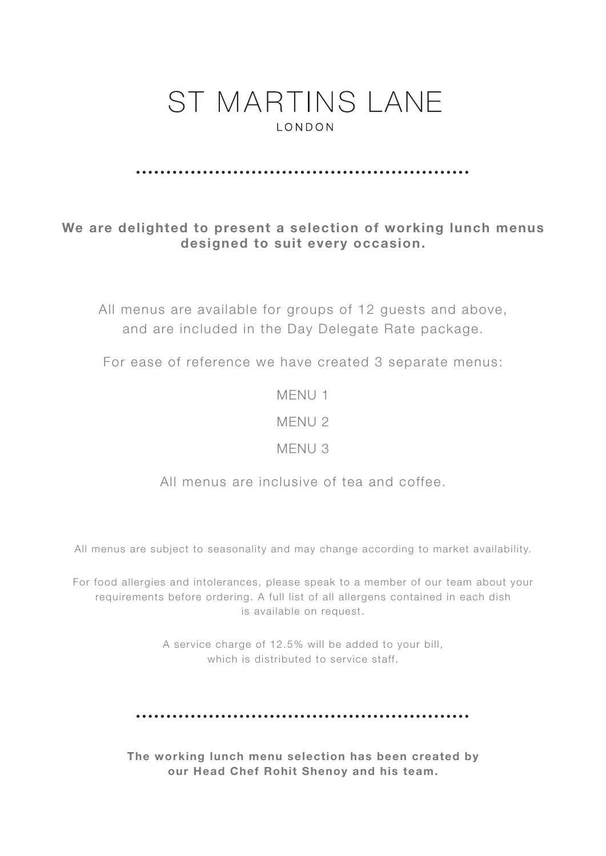#### 

### We are delighted to present a selection of working lunch menus designed to suit every occasion.

All menus are available for groups of 12 guests and above, and are included in the Day Delegate Rate package.

For ease of reference we have created 3 separate menus:

MENU 1

MENU 2

MENU 3

All menus are inclusive of tea and coffee.

All menus are subject to seasonality and may change according to market availability.

For food allergies and intolerances, please speak to a member of our team about your requirements before ordering. A full list of all allergens contained in each dish is available on request.

> A service charge of 12.5% will be added to your bill, which is distributed to service staff.

The working lunch menu selection has been created by our Head Chef Rohit Shenoy and his team.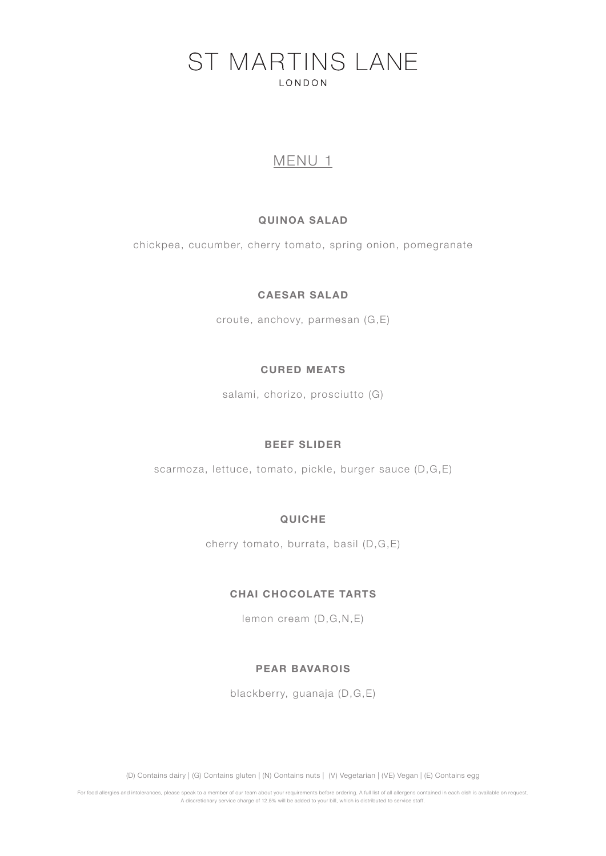### MENU 1

#### QUINOA SALAD

chickpea, cucumber, cherry tomato, spring onion, pomegranate

#### CAESAR SALAD

croute, anchovy, parmesan (G,E)

#### CURED MEATS

salami, chorizo, prosciutto (G)

#### BEEF SLIDER

scarmoza, lettuce, tomato, pickle, burger sauce (D,G,E)

#### QUICHE

cherry tomato, burrata, basil (D,G,E)

#### CHAI CHOCOLATE TARTS

lemon cream (D,G,N,E)

#### PEAR BAVAROIS

blackberry, guanaja (D,G,E)

(D) Contains dairy | (G) Contains gluten | (N) Contains nuts | (V) Vegetarian | (VE) Vegan | (E) Contains egg

For food allergies and intolerances, please speak to a member of our team about your requirements before ordering. A full list of all allergens contained in each dish is available on request. A discretionary service charge of 12.5% will be added to your bill, which is distributed to service staff.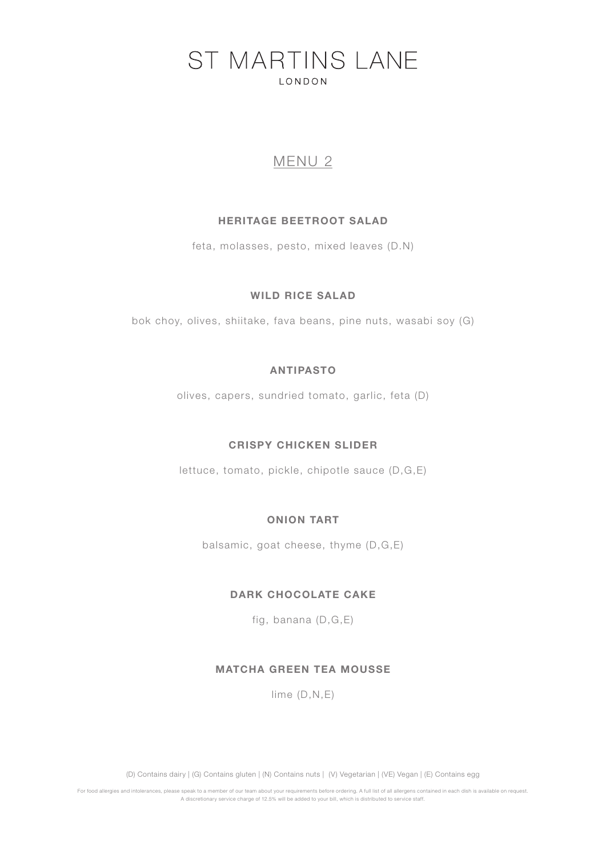## MENU 2

#### HERITAGE BEETROOT SALAD

feta, molasses, pesto, mixed leaves (D.N)

#### WILD RICE SALAD

bok choy, olives, shiitake, fava beans, pine nuts, wasabi soy (G)

#### ANTIPASTO

olives, capers, sundried tomato, garlic, feta (D)

#### CRISPY CHICKEN SLIDER

lettuce, tomato, pickle, chipotle sauce (D,G,E)

#### ONION TART

balsamic, goat cheese, thyme (D,G,E)

#### DARK CHOCOLATE CAKE

fig, banana (D,G,E)

#### MATCHA GREEN TEA MOUSSE

lime (D,N,E)

(D) Contains dairy | (G) Contains gluten | (N) Contains nuts | (V) Vegetarian | (VE) Vegan | (E) Contains egg

For food allergies and intolerances, please speak to a member of our team about your requirements before ordering. A full list of all allergens contained in each dish is available on request. A discretionary service charge of 12.5% will be added to your bill, which is distributed to service staff.